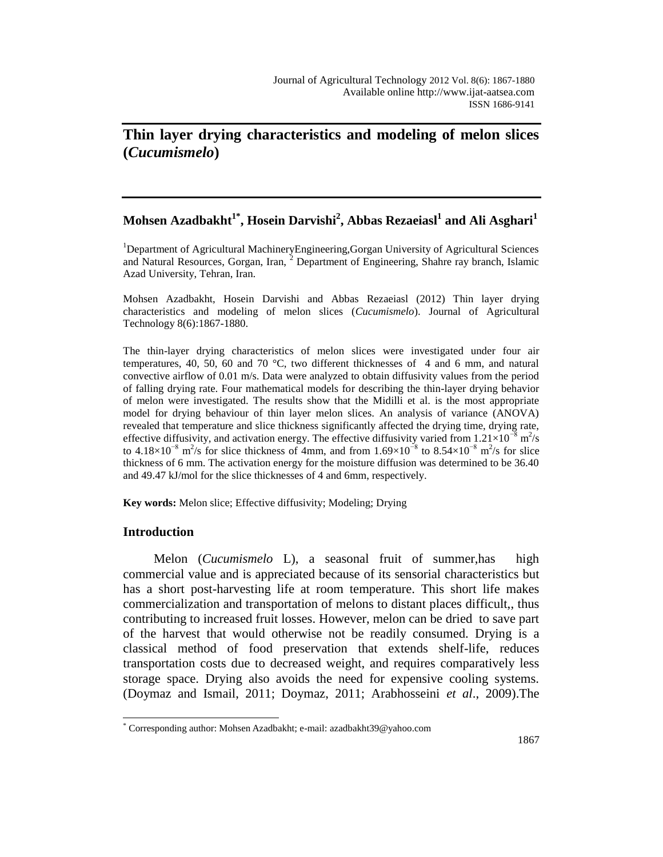# **Thin layer drying characteristics and modeling of melon slices (***Cucumismelo***)**

## **Mohsen Azadbakht1\* , Hosein Darvishi<sup>2</sup> , Abbas Rezaeiasl<sup>1</sup> and Ali Asghari<sup>1</sup>**

<sup>1</sup>Department of Agricultural MachineryEngineering,Gorgan University of Agricultural Sciences and Natural Resources, Gorgan, Iran, <sup>2</sup> Department of Engineering, Shahre ray branch, Islamic Azad University, Tehran, Iran.

Mohsen Azadbakht, Hosein Darvishi and Abbas Rezaeiasl (2012) Thin layer drying characteristics and modeling of melon slices (*Cucumismelo*). Journal of Agricultural Technology 8(6):1867-1880.

The thin-layer drying characteristics of melon slices were investigated under four air temperatures, 40, 50, 60 and 70 °C, two different thicknesses of 4 and 6 mm, and natural convective airflow of 0.01 m/s. Data were analyzed to obtain diffusivity values from the period of falling drying rate. Four mathematical models for describing the thin-layer drying behavior of melon were investigated. The results show that the Midilli et al. is the most appropriate model for drying behaviour of thin layer melon slices. An analysis of variance (ANOVA) revealed that temperature and slice thickness significantly affected the drying time, drying rate, effective diffusivity, and activation energy. The effective diffusivity varied from  $1.21 \times 10^{-8}$  m<sup>2</sup>/s to 4.18×10<sup>-8</sup> m<sup>2</sup>/s for slice thickness of 4mm, and from 1.69×10<sup>-8</sup> to 8.54×10<sup>-8</sup> m<sup>2</sup>/s for slice thickness of 6 mm. The activation energy for the moisture diffusion was determined to be 36.40 and 49.47 kJ/mol for the slice thicknesses of 4 and 6mm, respectively.

**Key words:** Melon slice; Effective diffusivity; Modeling; Drying

## **Introduction**

 $\overline{a}$ 

Melon (*Cucumismelo* L), a seasonal fruit of summer,has high commercial value and is appreciated because of its sensorial characteristics but has a short post-harvesting life at room temperature. This short life makes commercialization and transportation of melons to distant places difficult,, thus contributing to increased fruit losses. However, melon can be dried to save part of the harvest that would otherwise not be readily consumed. Drying is a classical method of food preservation that extends shelf-life, reduces transportation costs due to decreased weight, and requires comparatively less storage space. Drying also avoids the need for expensive cooling systems. (Doymaz and Ismail, 2011; Doymaz, 2011; Arabhosseini *et al*., 2009).The

<sup>\*</sup> Corresponding author: Mohsen Azadbakht; e-mail: azadbakht39@yahoo.com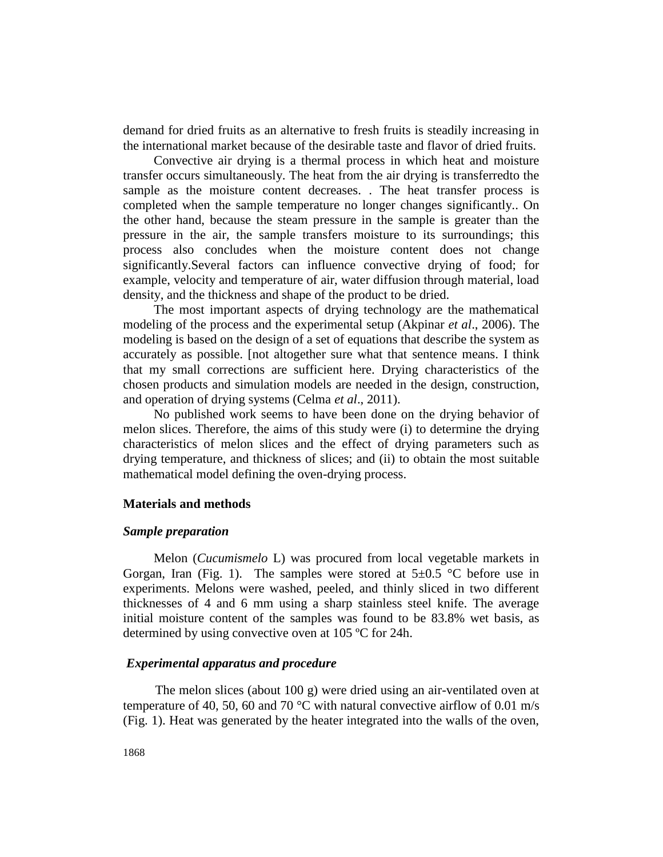demand for dried fruits as an alternative to fresh fruits is steadily increasing in the international market because of the desirable taste and flavor of dried fruits.

Convective air drying is a thermal process in which heat and moisture transfer occurs simultaneously. The heat from the air drying is transferredto the sample as the moisture content decreases. . The heat transfer process is completed when the sample temperature no longer changes significantly.. On the other hand, because the steam pressure in the sample is greater than the pressure in the air, the sample transfers moisture to its surroundings; this process also concludes when the moisture content does not change significantly.Several factors can influence convective drying of food; for example, velocity and temperature of air, water diffusion through material, load density, and the thickness and shape of the product to be dried.

The most important aspects of drying technology are the mathematical modeling of the process and the experimental setup (Akpinar *et al*., 2006). The modeling is based on the design of a set of equations that describe the system as accurately as possible. [not altogether sure what that sentence means. I think that my small corrections are sufficient here. Drying characteristics of the chosen products and simulation models are needed in the design, construction, and operation of drying systems (Celma *et al*., 2011).

No published work seems to have been done on the drying behavior of melon slices. Therefore, the aims of this study were (i) to determine the drying characteristics of melon slices and the effect of drying parameters such as drying temperature, and thickness of slices; and (ii) to obtain the most suitable mathematical model defining the oven-drying process.

#### **Materials and methods**

#### *Sample preparation*

Melon (*Cucumismelo* L) was procured from local vegetable markets in Gorgan, Iran (Fig. 1). The samples were stored at  $5\pm0.5$  °C before use in experiments. Melons were washed, peeled, and thinly sliced in two different thicknesses of 4 and 6 mm using a sharp stainless steel knife. The average initial moisture content of the samples was found to be 83.8% wet basis, as determined by using convective oven at 105 ºC for 24h.

#### *Experimental apparatus and procedure*

The melon slices (about 100 g) were dried using an air-ventilated oven at temperature of 40, 50, 60 and 70  $^{\circ}$ C with natural convective airflow of 0.01 m/s (Fig. 1). Heat was generated by the heater integrated into the walls of the oven,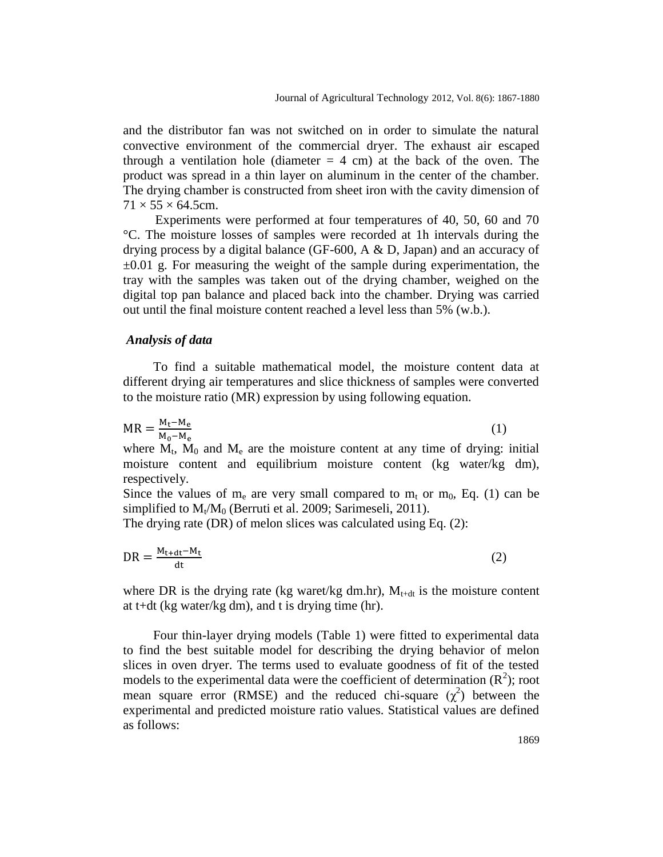and the distributor fan was not switched on in order to simulate the natural convective environment of the commercial dryer. The exhaust air escaped through a ventilation hole (diameter  $= 4$  cm) at the back of the oven. The product was spread in a thin layer on aluminum in the center of the chamber. The drying chamber is constructed from sheet iron with the cavity dimension of  $71 \times 55 \times 64.5$ cm.

Experiments were performed at four temperatures of 40, 50, 60 and 70 °C. The moisture losses of samples were recorded at 1h intervals during the drying process by a digital balance (GF-600,  $A \& D$ , Japan) and an accuracy of  $\pm 0.01$  g. For measuring the weight of the sample during experimentation, the tray with the samples was taken out of the drying chamber, weighed on the digital top pan balance and placed back into the chamber. Drying was carried out until the final moisture content reached a level less than 5% (w.b.).

#### *Analysis of data*

To find a suitable mathematical model, the moisture content data at different drying air temperatures and slice thickness of samples were converted to the moisture ratio (MR) expression by using following equation.

$$
MR = \frac{M_t - M_e}{M_0 - M_e} \tag{1}
$$

where  $M_t$ ,  $M_0$  and  $M_e$  are the moisture content at any time of drying: initial moisture content and equilibrium moisture content (kg water/kg dm), respectively.

Since the values of  $m_e$  are very small compared to  $m_t$  or  $m_0$ , Eq. (1) can be simplified to  $M_t/M_0$  (Berruti et al. 2009; Sarimeseli, 2011).

The drying rate (DR) of melon slices was calculated using Eq. (2):

$$
DR = \frac{M_{t+dt} - M_t}{dt} \tag{2}
$$

where DR is the drying rate (kg waret/kg dm.hr),  $M_{t+dt}$  is the moisture content at t+dt (kg water/kg dm), and t is drying time (hr).

Four thin-layer drying models (Table 1) were fitted to experimental data to find the best suitable model for describing the drying behavior of melon slices in oven dryer. The terms used to evaluate goodness of fit of the tested models to the experimental data were the coefficient of determination  $(R^2)$ ; root mean square error (RMSE) and the reduced chi-square  $(\chi^2)$  between the experimental and predicted moisture ratio values. Statistical values are defined as follows: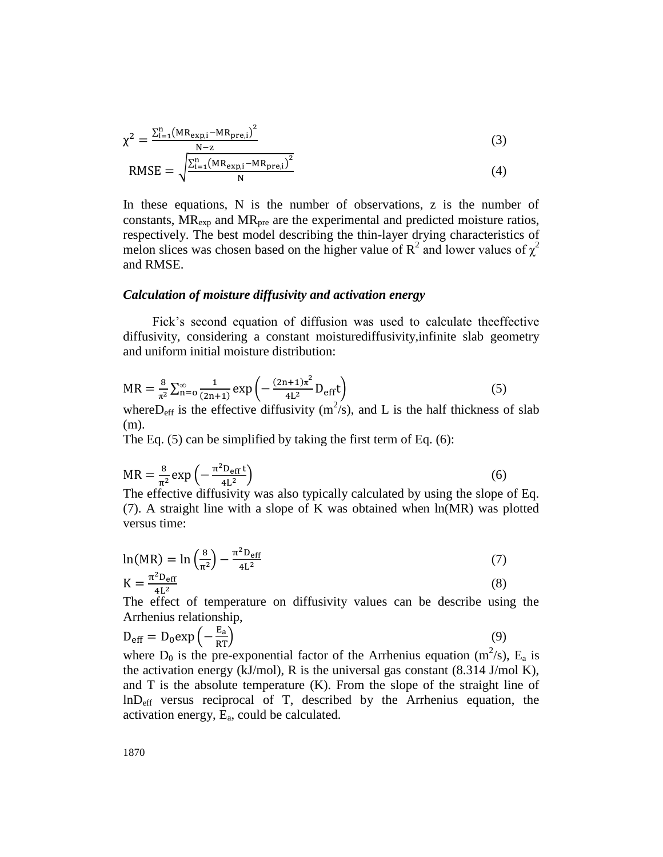$$
\chi^{2} = \frac{\sum_{i=1}^{n} (MR_{exp,i} - MR_{pre,i})^{2}}{N - z}
$$
(3)

$$
RMSE = \sqrt{\frac{\sum_{i=1}^{n} (MR_{exp,i} - MR_{pre,i})^2}{N}}
$$
(4)

In these equations, N is the number of observations, z is the number of constants,  $MR_{exp}$  and  $MR_{pre}$  are the experimental and predicted moisture ratios, respectively. The best model describing the thin-layer drying characteristics of melon slices was chosen based on the higher value of  $R^2$  and lower values of  $\chi^2$ and RMSE.

#### *Calculation of moisture diffusivity and activation energy*

Fick's second equation of diffusion was used to calculate theeffective diffusivity, considering a constant moisturediffusivity,infinite slab geometry and uniform initial moisture distribution:

$$
MR = \frac{8}{\pi^2} \sum_{n=0}^{\infty} \frac{1}{(2n+1)} \exp\left(-\frac{(2n+1)\pi^2}{4L^2} D_{\text{eff}} t\right)
$$
(5)

where D<sub>eff</sub> is the effective diffusivity  $(m^2/s)$ , and L is the half thickness of slab (m).

The Eq. (5) can be simplified by taking the first term of Eq. (6):

$$
MR = \frac{8}{\pi^2} \exp\left(-\frac{\pi^2 D_{\text{eff}} t}{4L^2}\right)
$$
 (6)

The effective diffusivity was also typically calculated by using the slope of Eq. (7). A straight line with a slope of K was obtained when ln(MR) was plotted versus time:

$$
\ln(MR) = \ln\left(\frac{8}{\pi^2}\right) - \frac{\pi^2 D_{\text{eff}}}{4L^2}
$$
 (7)  

$$
K = \frac{\pi^2 D_{\text{eff}}}{4L^2}
$$
 (8)

The effect of temperature on diffusivity values can be describe using the Arrhenius relationship,

$$
D_{\rm eff} = D_0 \exp\left(-\frac{E_a}{RT}\right) \tag{9}
$$

where  $D_0$  is the pre-exponential factor of the Arrhenius equation (m<sup>2</sup>/s), E<sub>a</sub> is the activation energy (kJ/mol), R is the universal gas constant  $(8.314$  J/mol K), and T is the absolute temperature (K). From the slope of the straight line of lnDeff versus reciprocal of T, described by the Arrhenius equation, the activation energy, Ea, could be calculated.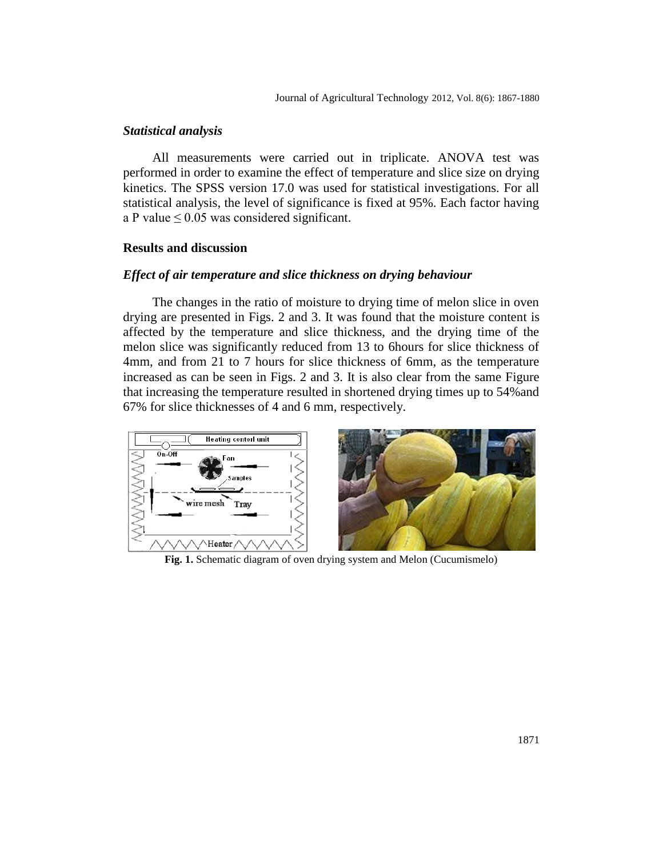## *Statistical analysis*

All measurements were carried out in triplicate. ANOVA test was performed in order to examine the effect of temperature and slice size on drying kinetics. The SPSS version 17.0 was used for statistical investigations. For all statistical analysis, the level of significance is fixed at 95%. Each factor having a P value  $\leq 0.05$  was considered significant.

#### **Results and discussion**

## *Effect of air temperature and slice thickness on drying behaviour*

The changes in the ratio of moisture to drying time of melon slice in oven drying are presented in Figs. 2 and 3. It was found that the moisture content is affected by the temperature and slice thickness, and the drying time of the melon slice was significantly reduced from 13 to 6hours for slice thickness of 4mm, and from 21 to 7 hours for slice thickness of 6mm, as the temperature increased as can be seen in Figs. 2 and 3. It is also clear from the same Figure that increasing the temperature resulted in shortened drying times up to 54%and 67% for slice thicknesses of 4 and 6 mm, respectively.



**Fig. 1.** Schematic diagram of oven drying system and Melon (Cucumismelo)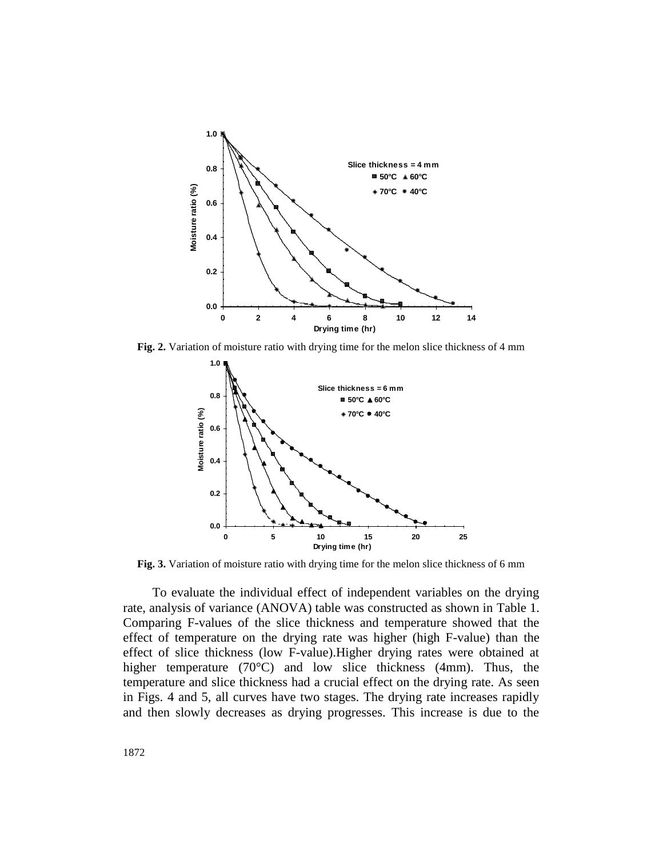

**Fig. 2.** Variation of moisture ratio with drying time for the melon slice thickness of 4 mm



**Fig. 3.** Variation of moisture ratio with drying time for the melon slice thickness of 6 mm

To evaluate the individual effect of independent variables on the drying rate, analysis of variance (ANOVA) table was constructed as shown in Table 1. Comparing F-values of the slice thickness and temperature showed that the effect of temperature on the drying rate was higher (high F-value) than the effect of slice thickness (low F-value).Higher drying rates were obtained at higher temperature (70°C) and low slice thickness (4mm). Thus, the temperature and slice thickness had a crucial effect on the drying rate. As seen in Figs. 4 and 5, all curves have two stages. The drying rate increases rapidly and then slowly decreases as drying progresses. This increase is due to the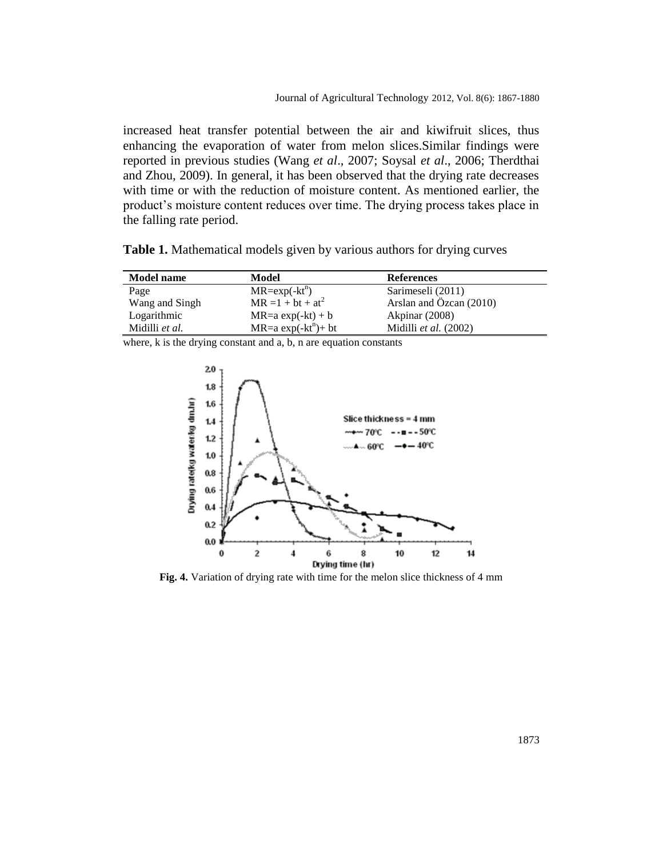increased heat transfer potential between the air and kiwifruit slices, thus enhancing the evaporation of water from melon slices.Similar findings were reported in previous studies (Wang *et al*., 2007; Soysal *et al*., 2006; Therdthai and Zhou, 2009). In general, it has been observed that the drying rate decreases with time or with the reduction of moisture content. As mentioned earlier, the product's moisture content reduces over time. The drying process takes place in the falling rate period.

**Table 1.** Mathematical models given by various authors for drying curves

| <b>Model name</b> | Model                 | <b>References</b>       |  |
|-------------------|-----------------------|-------------------------|--|
| Page              | $MR = exp(-kt^n)$     | Sarimeseli (2011)       |  |
| Wang and Singh    | $MR = 1 + bt + at^2$  | Arslan and Özcan (2010) |  |
| Logarithmic       | $MR=a \exp(-kt) + b$  | Akpinar (2008)          |  |
| Midilli et al.    | $MR=a \exp(-kt^n)+bt$ | Midilli et al. (2002)   |  |

where, k is the drying constant and a, b, n are equation constants  $20$  $1.8$ 



**Fig. 4.** Variation of drying rate with time for the melon slice thickness of 4 mm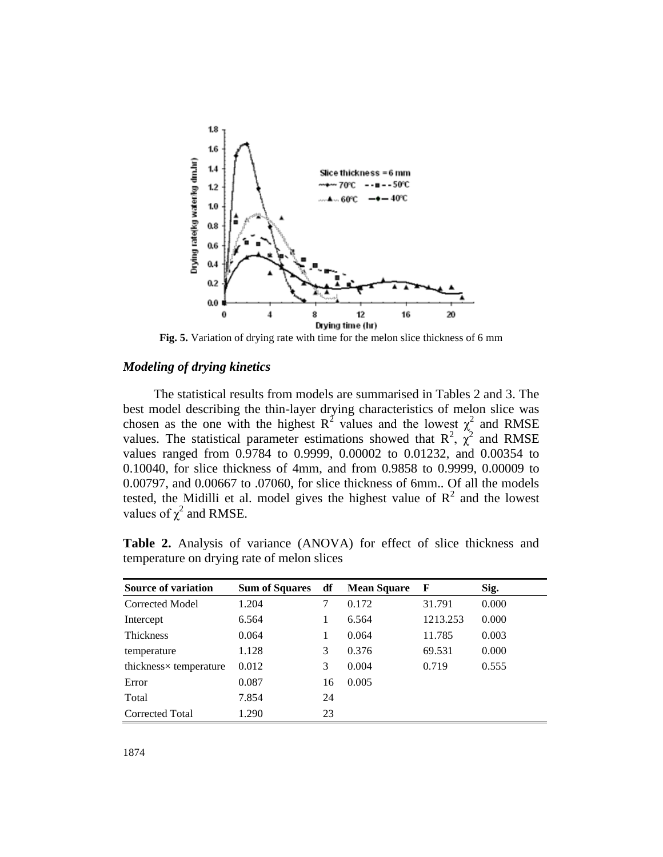

**Fig. 5.** Variation of drying rate with time for the melon slice thickness of 6 mm

## *Modeling of drying kinetics*

The statistical results from models are summarised in Tables 2 and 3. The best model describing the thin-layer drying characteristics of melon slice was chosen as the one with the highest  $R^2$  values and the lowest  $\chi^2$  and RMSE values. The statistical parameter estimations showed that  $R^2$ ,  $\chi^2$  and RMSE values ranged from 0.9784 to 0.9999, 0.00002 to 0.01232, and 0.00354 to 0.10040, for slice thickness of 4mm, and from 0.9858 to 0.9999, 0.00009 to 0.00797, and 0.00667 to .07060, for slice thickness of 6mm.. Of all the models tested, the Midilli et al. model gives the highest value of  $R^2$  and the lowest values of  $\chi^2$  and RMSE.

**Table 2.** Analysis of variance (ANOVA) for effect of slice thickness and temperature on drying rate of melon slices

| <b>Source of variation</b> | Sum of Squares df |    | <b>Mean Square</b> | $\mathbf{F}$ | Sig.  |
|----------------------------|-------------------|----|--------------------|--------------|-------|
| Corrected Model            | 1.204             | 7  | 0.172              | 31.791       | 0.000 |
| Intercept                  | 6.564             |    | 6.564              | 1213.253     | 0.000 |
| Thickness                  | 0.064             |    | 0.064              | 11.785       | 0.003 |
| temperature                | 1.128             | 3  | 0.376              | 69.531       | 0.000 |
| thickness× temperature     | 0.012             | 3  | 0.004              | 0.719        | 0.555 |
| Error                      | 0.087             | 16 | 0.005              |              |       |
| Total                      | 7.854             | 24 |                    |              |       |
| <b>Corrected Total</b>     | 1.290             | 23 |                    |              |       |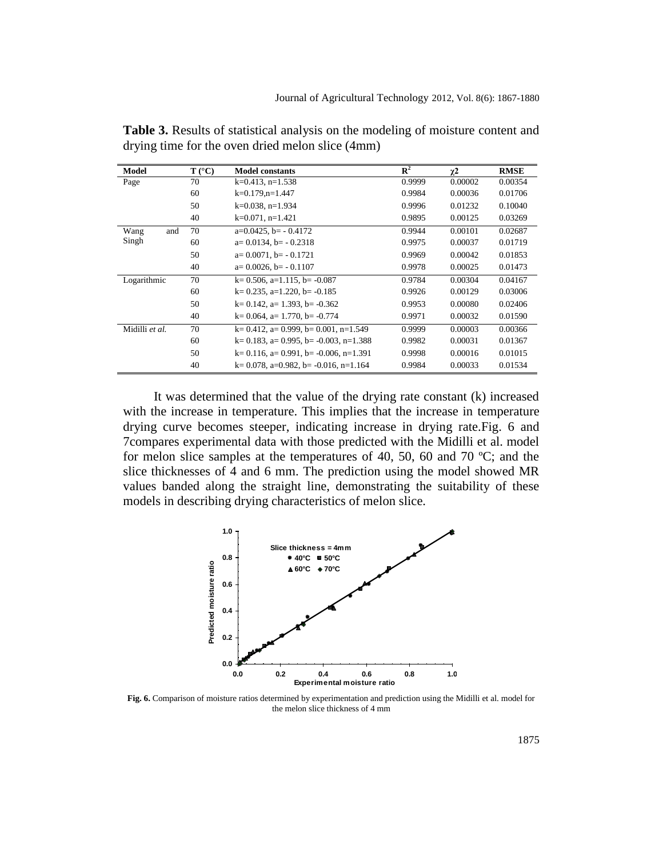| Model          | $T (^{\circ}C)$ | <b>Model constants</b>                   | $\mathbf{R}^2$ | $\chi^2$ | <b>RMSE</b> |  |
|----------------|-----------------|------------------------------------------|----------------|----------|-------------|--|
| Page           | 70              | $k=0.413$ , n=1.538                      | 0.9999         | 0.00002  | 0.00354     |  |
|                | 60              | $k=0.179$ , n=1.447                      | 0.9984         | 0.00036  | 0.01706     |  |
|                | 50              | $k=0.038$ , n=1.934                      | 0.9996         | 0.01232  | 0.10040     |  |
|                | 40              | $k=0.071$ , n=1.421                      | 0.9895         | 0.00125  | 0.03269     |  |
| Wang<br>and    | 70              | $a=0.0425$ , $b=-0.4172$                 | 0.9944         | 0.00101  | 0.02687     |  |
| Singh          | 60              | $a=0.0134$ , $b=-0.2318$                 | 0.9975         | 0.00037  | 0.01719     |  |
|                | 50              | $a=0.0071$ , $b=-0.1721$                 | 0.9969         | 0.00042  | 0.01853     |  |
|                | 40              | $a=0.0026$ , $b=-0.1107$                 | 0.9978         | 0.00025  | 0.01473     |  |
| Logarithmic    | 70              | $k=0.506$ , a=1.115, b= -0.087           | 0.9784         | 0.00304  | 0.04167     |  |
|                | 60              | $k=0.235$ , a=1.220, b= -0.185           | 0.9926         | 0.00129  | 0.03006     |  |
|                | 50              | $k=0.142$ , a= 1.393, b= $-0.362$        | 0.9953         | 0.00080  | 0.02406     |  |
|                | 40              | $k=0.064$ , a= 1.770, b= -0.774          | 0.9971         | 0.00032  | 0.01590     |  |
| Midilli et al. | 70              | $k=0.412$ , a= 0.999, b= 0.001, n=1.549  | 0.9999         | 0.00003  | 0.00366     |  |
|                | 60              | $k=0.183$ , a= 0.995, b= -0.003, n=1.388 | 0.9982         | 0.00031  | 0.01367     |  |
|                | 50              | $k=0.116$ , a= 0.991, b= -0.006, n=1.391 | 0.9998         | 0.00016  | 0.01015     |  |
|                | 40              | $k=0.078$ , a=0.982, b= -0.016, n=1.164  | 0.9984         | 0.00033  | 0.01534     |  |

**Table 3.** Results of statistical analysis on the modeling of moisture content and drying time for the oven dried melon slice (4mm)

It was determined that the value of the drying rate constant (k) increased with the increase in temperature. This implies that the increase in temperature drying curve becomes steeper, indicating increase in drying rate.Fig. 6 and 7compares experimental data with those predicted with the Midilli et al. model for melon slice samples at the temperatures of 40, 50, 60 and 70 ºC; and the slice thicknesses of 4 and 6 mm. The prediction using the model showed MR values banded along the straight line, demonstrating the suitability of these models in describing drying characteristics of melon slice.



**Fig. 6.** Comparison of moisture ratios determined by experimentation and prediction using the Midilli et al. model for the melon slice thickness of 4 mm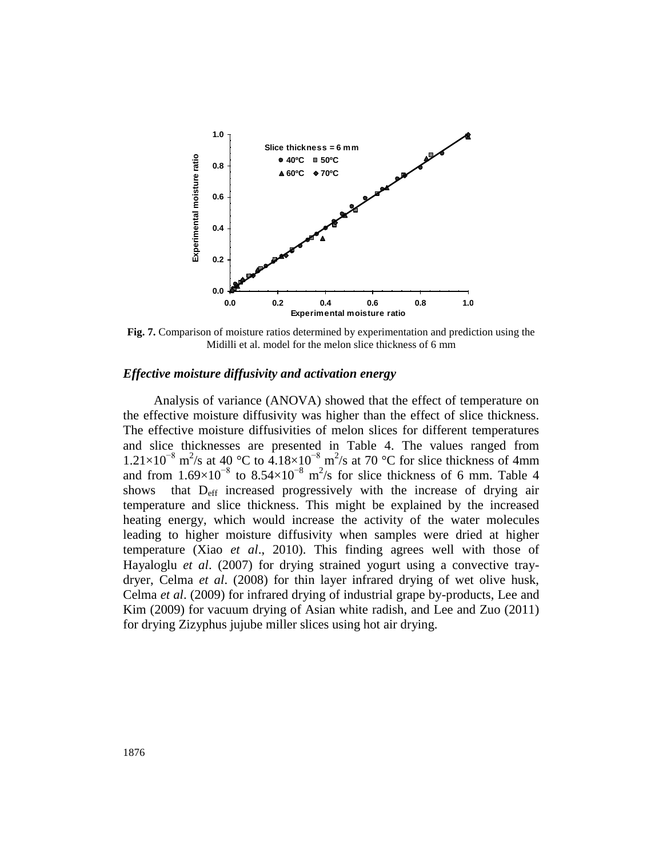

**Fig. 7.** Comparison of moisture ratios determined by experimentation and prediction using the Midilli et al. model for the melon slice thickness of 6 mm

#### *Effective moisture diffusivity and activation energy*

Analysis of variance (ANOVA) showed that the effect of temperature on the effective moisture diffusivity was higher than the effect of slice thickness. The effective moisture diffusivities of melon slices for different temperatures and slice thicknesses are presented in Table 4. The values ranged from  $1.21\times10^{-8}$  m<sup>2</sup>/s at 40 °C to  $4.18\times10^{-8}$  m<sup>2</sup>/s at 70 °C for slice thickness of 4mm and from  $1.69 \times 10^{-8}$  to  $8.54 \times 10^{-8}$  m<sup>2</sup>/s for slice thickness of 6 mm. Table 4 shows that  $D_{\text{eff}}$  increased progressively with the increase of drying air temperature and slice thickness. This might be explained by the increased heating energy, which would increase the activity of the water molecules leading to higher moisture diffusivity when samples were dried at higher temperature (Xiao *et al*., 2010). This finding agrees well with those of Hayaloglu *et al*. (2007) for drying strained yogurt using a convective traydryer, Celma *et al*. (2008) for thin layer infrared drying of wet olive husk, Celma *et al*. (2009) for infrared drying of industrial grape by-products, Lee and Kim (2009) for vacuum drying of Asian white radish, and Lee and Zuo (2011) for drying Zizyphus jujube miller slices using hot air drying.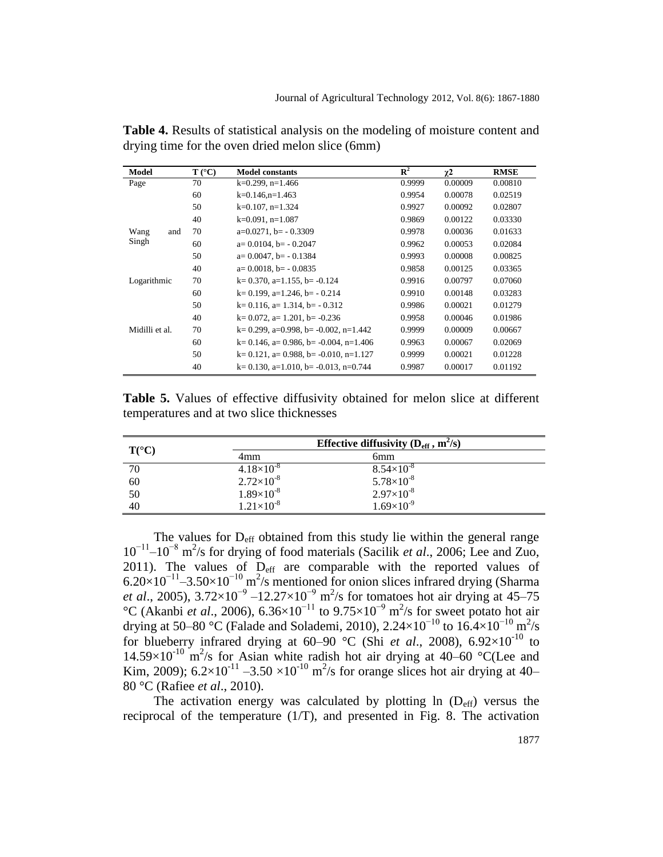| Model          | $T (^{\circ}C)$ | <b>Model constants</b>                   | $\mathbf{R}^2$ | $\chi^2$ | <b>RMSE</b> |
|----------------|-----------------|------------------------------------------|----------------|----------|-------------|
| Page           | 70              | $k=0.299$ , n=1.466                      | 0.9999         | 0.00009  | 0.00810     |
|                | 60              | $k=0.146$ , n=1.463                      | 0.9954         | 0.00078  | 0.02519     |
|                | 50              | $k=0.107$ , n=1.324                      | 0.9927         | 0.00092  | 0.02807     |
|                | 40              | $k=0.091$ , n=1.087                      | 0.9869         | 0.00122  | 0.03330     |
| Wang<br>and    | 70              | $a=0.0271$ , $b=-0.3309$                 | 0.9978         | 0.00036  | 0.01633     |
| Singh          | 60              | $a=0.0104$ , $b=-0.2047$                 | 0.9962         | 0.00053  | 0.02084     |
|                | 50              | $a=0.0047$ , $b=-0.1384$                 | 0.9993         | 0.00008  | 0.00825     |
|                | 40              | $a=0.0018$ , $b=-0.0835$                 | 0.9858         | 0.00125  | 0.03365     |
| Logarithmic    | 70              | $k=0.370$ , a=1.155, b= -0.124           | 0.9916         | 0.00797  | 0.07060     |
|                | 60              | $k=0.199$ , a=1.246, b= $-0.214$         | 0.9910         | 0.00148  | 0.03283     |
|                | 50              | $k=0.116$ , a= 1.314, b= - 0.312         | 0.9986         | 0.00021  | 0.01279     |
|                | 40              | $k=0.072$ , a= 1.201, b= -0.236          | 0.9958         | 0.00046  | 0.01986     |
| Midilli et al. | 70              | $k=0.299$ , a=0.998, b= -0.002, n=1.442  | 0.9999         | 0.00009  | 0.00667     |
|                | 60              | $k=0.146$ , a= 0.986, b= -0.004, n=1.406 | 0.9963         | 0.00067  | 0.02069     |
|                | 50              | $k=0.121$ , a= 0.988, b= -0.010, n=1.127 | 0.9999         | 0.00021  | 0.01228     |
|                | 40              | $k=0.130$ , a=1.010, b= -0.013, n=0.744  | 0.9987         | 0.00017  | 0.01192     |

**Table 4.** Results of statistical analysis on the modeling of moisture content and drying time for the oven dried melon slice (6mm)

Table 5. Values of effective diffusivity obtained for melon slice at different temperatures and at two slice thicknesses

| $T({}^{\circ}C)$ |                     | Effective diffusivity $(D_{\text{eff}}^{\text{}}$ , m <sup>2</sup> /s) |  |  |  |
|------------------|---------------------|------------------------------------------------------------------------|--|--|--|
|                  | 4mm                 | 6 <sub>mm</sub>                                                        |  |  |  |
| 70               | $4.18\times10^{-8}$ | $8.54\times10^{-8}$                                                    |  |  |  |
| 60               | $2.72\times10^{-8}$ | $5.78\times10^{-8}$                                                    |  |  |  |
| 50               | $1.89\times10^{-8}$ | $2.97\times10^{-8}$                                                    |  |  |  |
| 40               | $1.21\times10^{-8}$ | $1.69\times10^{-9}$                                                    |  |  |  |

The values for  $D_{\text{eff}}$  obtained from this study lie within the general range 10−11 –10−8 m 2 /s for drying of food materials (Sacilik *et al*., 2006; Lee and Zuo, 2011). The values of  $D_{\text{eff}}$  are comparable with the reported values of  $6.20\times10^{-11}$  –3.50×10<sup>-10</sup> m<sup>2</sup>/s mentioned for onion slices infrared drying (Sharma *et al.*, 2005),  $3.72 \times 10^{-9} - 12.27 \times 10^{-9}$  m<sup>2</sup>/s for tomatoes hot air drying at 45–75 °C (Akanbi *et al.*, 2006),  $6.36 \times 10^{-11}$  to  $9.75 \times 10^{-9}$  m<sup>2</sup>/s for sweet potato hot air drying at 50–80 °C (Falade and Solademi, 2010), 2.24×10<sup>-10</sup> to 16.4×10<sup>-10</sup> m<sup>2</sup>/s for blueberry infrared drying at  $60-90$  °C (Shi *et al.*, 2008),  $6.92\times10^{-10}$  to 14.59×10<sup>-10</sup> m<sup>2</sup>/s for Asian white radish hot air drying at 40–60 °C(Lee and Kim, 2009);  $6.2 \times 10^{-11} - 3.50 \times 10^{-10}$  m<sup>2</sup>/s for orange slices hot air drying at 40– 80 °C (Rafiee *et al*., 2010).

The activation energy was calculated by plotting  $\ln (D_{\text{eff}})$  versus the reciprocal of the temperature  $(1/T)$ , and presented in Fig. 8. The activation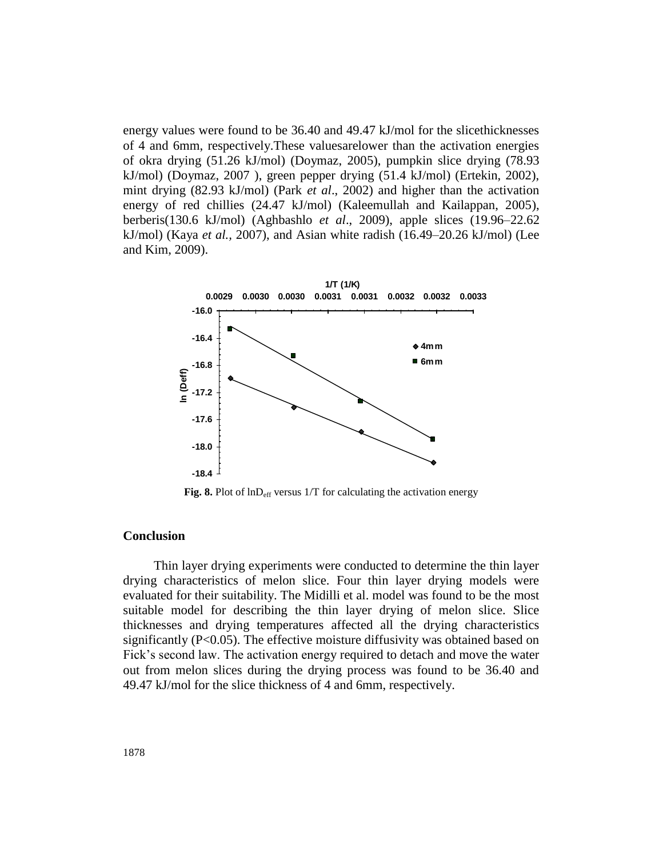energy values were found to be 36.40 and 49.47 kJ/mol for the slicethicknesses of 4 and 6mm, respectively.These valuesarelower than the activation energies of okra drying (51.26 kJ/mol) (Doymaz, 2005), pumpkin slice drying (78.93 kJ/mol) (Doymaz, 2007 ), green pepper drying (51.4 kJ/mol) (Ertekin, 2002), mint drying (82.93 kJ/mol) (Park *et al*., 2002) and higher than the activation energy of red chillies (24.47 kJ/mol) (Kaleemullah and Kailappan, 2005), berberis(130.6 kJ/mol) (Aghbashlo *et al*., 2009), apple slices (19.96–22.62 kJ/mol) (Kaya *et al.,* 2007), and Asian white radish (16.49–20.26 kJ/mol) (Lee and Kim, 2009).



**Fig. 8.** Plot of  $\text{ln}D_{\text{eff}}$  versus 1/T for calculating the activation energy

## **Conclusion**

Thin layer drying experiments were conducted to determine the thin layer drying characteristics of melon slice. Four thin layer drying models were evaluated for their suitability. The Midilli et al. model was found to be the most suitable model for describing the thin layer drying of melon slice. Slice thicknesses and drying temperatures affected all the drying characteristics significantly (P<0.05). The effective moisture diffusivity was obtained based on Fick's second law. The activation energy required to detach and move the water out from melon slices during the drying process was found to be 36.40 and 49.47 kJ/mol for the slice thickness of 4 and 6mm, respectively.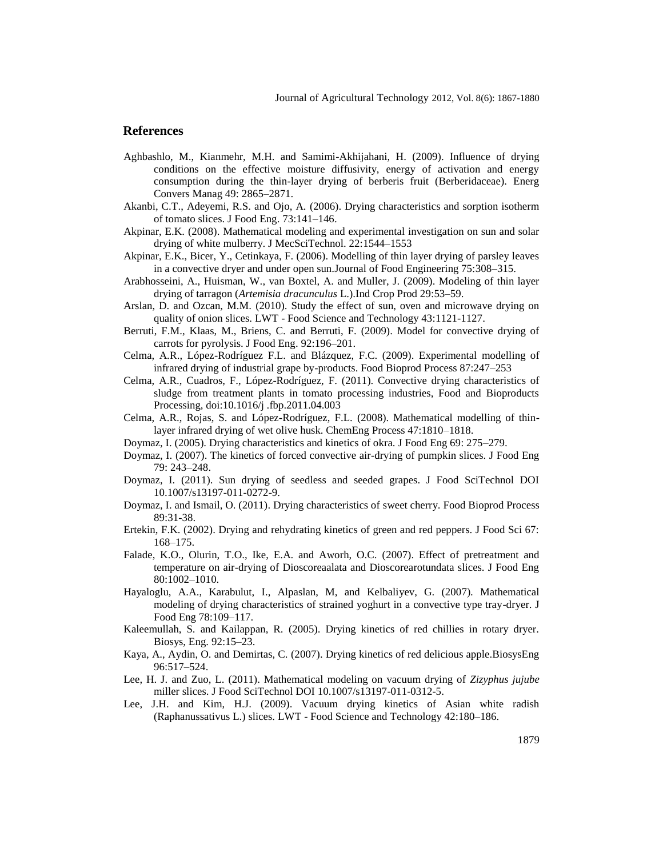#### **References**

- Aghbashlo, M., Kianmehr, M.H. and Samimi-Akhijahani, H. (2009). Influence of drying conditions on the effective moisture diffusivity, energy of activation and energy consumption during the thin-layer drying of berberis fruit (Berberidaceae). Energ Convers Manag 49: 2865–2871.
- Akanbi, C.T., Adeyemi, R.S. and Ojo, A. (2006). Drying characteristics and sorption isotherm of tomato slices. J Food Eng. 73:141–146.
- Akpinar, E.K. (2008). Mathematical modeling and experimental investigation on sun and solar drying of white mulberry. J MecSciTechnol. 22:1544–1553
- Akpinar, E.K., Bicer, Y., Cetinkaya, F. (2006). Modelling of thin layer drying of parsley leaves in a convective dryer and under open sun.Journal of Food Engineering 75:308–315.
- Arabhosseini, A., Huisman, W., van Boxtel, A. and Muller, J. (2009). Modeling of thin layer drying of tarragon (*Artemisia dracunculus* L.).Ind Crop Prod 29:53–59.
- Arslan, D. and Ozcan, M.M. (2010). Study the effect of sun, oven and microwave drying on quality of onion slices. LWT - Food Science and Technology 43:1121-1127.
- Berruti, F.M., Klaas, M., Briens, C. and Berruti, F. (2009). Model for convective drying of carrots for pyrolysis. J Food Eng. 92:196–201.
- Celma, A.R., López-Rodríguez F.L. and Blázquez, F.C. (2009). Experimental modelling of infrared drying of industrial grape by-products. Food Bioprod Process 87:247–253
- Celma, A.R., Cuadros, F., López-Rodríguez, F. (2011). Convective drying characteristics of sludge from treatment plants in tomato processing industries, Food and Bioproducts Processing, doi:10.1016/j .fbp.2011.04.003
- Celma, A.R., Rojas, S. and López-Rodríguez, F.L. (2008). Mathematical modelling of thinlayer infrared drying of wet olive husk. ChemEng Process 47:1810–1818.
- Doymaz, I. (2005). Drying characteristics and kinetics of okra. J Food Eng 69: 275–279.
- Doymaz, I. (2007). The kinetics of forced convective air-drying of pumpkin slices. J Food Eng 79: 243–248.
- Doymaz, I. (2011). Sun drying of seedless and seeded grapes. J Food SciTechnol DOI 10.1007/s13197-011-0272-9.
- Doymaz, I. and Ismail, O. (2011). Drying characteristics of sweet cherry. Food Bioprod Process 89:31-38.
- Ertekin, F.K. (2002). Drying and rehydrating kinetics of green and red peppers. J Food Sci 67: 168–175.
- Falade, K.O., Olurin, T.O., Ike, E.A. and Aworh, O.C. (2007). Effect of pretreatment and temperature on air-drying of Dioscoreaalata and Dioscorearotundata slices. J Food Eng 80:1002–1010.
- Hayaloglu, A.A., Karabulut, I., Alpaslan, M, and Kelbaliyev, G. (2007). Mathematical modeling of drying characteristics of strained yoghurt in a convective type tray-dryer. J Food Eng 78:109–117.
- Kaleemullah, S. and Kailappan, R. (2005). Drying kinetics of red chillies in rotary dryer. Biosys, Eng. 92:15–23.
- Kaya, A., Aydin, O. and Demirtas, C. (2007). Drying kinetics of red delicious apple.BiosysEng 96:517–524.
- Lee, H. J. and Zuo, L. (2011). Mathematical modeling on vacuum drying of *Zizyphus jujube* miller slices. J Food SciTechnol DOI 10.1007/s13197-011-0312-5.
- Lee, J.H. and Kim, H.J. (2009). Vacuum drying kinetics of Asian white radish (Raphanussativus L.) slices. LWT - Food Science and Technology 42:180–186.